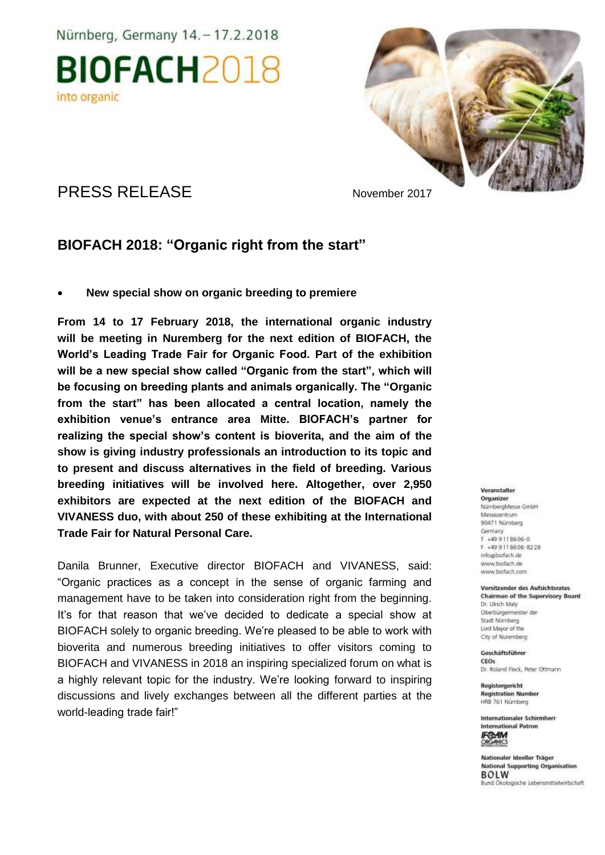Nürnberg, Germany 14. - 17.2.2018





PRESS RELEASE November 2017

## **BIOFACH 2018: "Organic right from the start"**

**New special show on organic breeding to premiere**

**From 14 to 17 February 2018, the international organic industry will be meeting in Nuremberg for the next edition of BIOFACH, the World's Leading Trade Fair for Organic Food. Part of the exhibition will be a new special show called "Organic from the start", which will be focusing on breeding plants and animals organically. The "Organic from the start" has been allocated a central location, namely the exhibition venue's entrance area Mitte. BIOFACH's partner for realizing the special show's content is bioverita, and the aim of the show is giving industry professionals an introduction to its topic and to present and discuss alternatives in the field of breeding. Various breeding initiatives will be involved here. Altogether, over 2,950 exhibitors are expected at the next edition of the BIOFACH and VIVANESS duo, with about 250 of these exhibiting at the International Trade Fair for Natural Personal Care.**

Danila Brunner, Executive director BIOFACH and VIVANESS, said: "Organic practices as a concept in the sense of organic farming and management have to be taken into consideration right from the beginning. It's for that reason that we've decided to dedicate a special show at BIOFACH solely to organic breeding. We're pleased to be able to work with bioverita and numerous breeding initiatives to offer visitors coming to BIOFACH and VIVANESS in 2018 an inspiring specialized forum on what is a highly relevant topic for the industry. We're looking forward to inspiring discussions and lively exchanges between all the different parties at the world-leading trade fair!"

#### Veranstalter

Organizer NürrbergMesse GmbH Messagentrum 93471 Nümberg Germany T +49 9 11 8606-0 F +49 9118606-8228 info@biofach.de www.biofach.de www.biofach.com

#### Vorsitzender des Aufsichtsrates Chairman of the Supervisory Board Dr. Ulrich Maly Oberbürgenmeister de

Stadt Nümberg Lord Mayor of the City of Nuremberg

#### Geschäftsführer CEOs

Dr. Roland Fleck, Peter Ottmann

Registergericht **Registration Number** HRS 761 Nürnberg

Internationaler Schirmherr **International Patron IFO-AM** 

Nationaler Ideeller Träger **National Supporting Organisation BOLW** kologische Lebensmittelwirtschaft